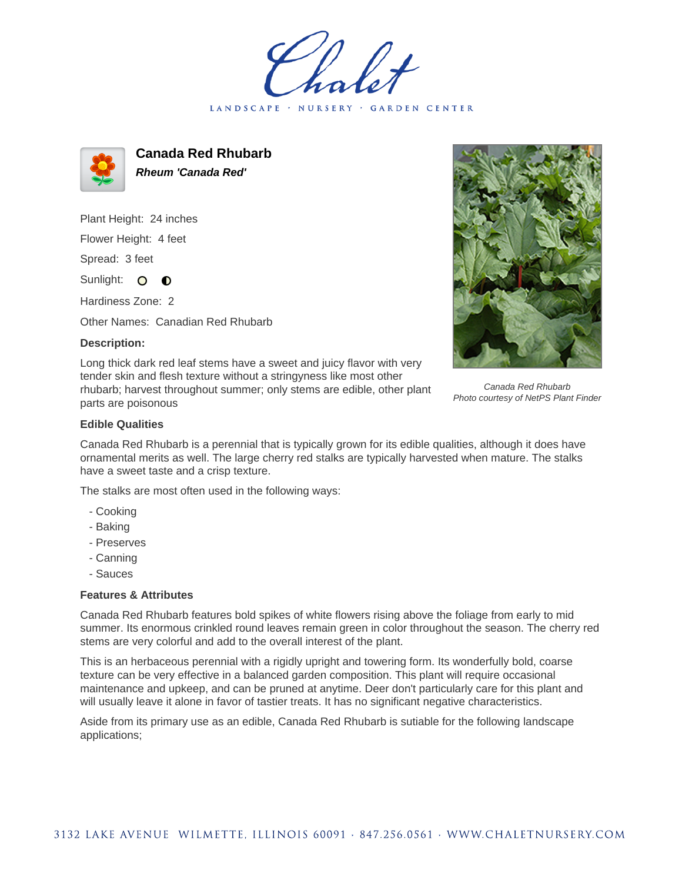LANDSCAPE · NURSERY · GARDEN CENTER



**Canada Red Rhubarb Rheum 'Canada Red'**

Plant Height: 24 inches Flower Height: 4 feet

Spread: 3 feet

Sunlight: O **O** 

Hardiness Zone: 2

Other Names: Canadian Red Rhubarb

## **Description:**

Long thick dark red leaf stems have a sweet and juicy flavor with very tender skin and flesh texture without a stringyness like most other rhubarb; harvest throughout summer; only stems are edible, other plant parts are poisonous



Canada Red Rhubarb Photo courtesy of NetPS Plant Finder

## **Edible Qualities**

Canada Red Rhubarb is a perennial that is typically grown for its edible qualities, although it does have ornamental merits as well. The large cherry red stalks are typically harvested when mature. The stalks have a sweet taste and a crisp texture.

The stalks are most often used in the following ways:

- Cooking
- Baking
- Preserves
- Canning
- Sauces

## **Features & Attributes**

Canada Red Rhubarb features bold spikes of white flowers rising above the foliage from early to mid summer. Its enormous crinkled round leaves remain green in color throughout the season. The cherry red stems are very colorful and add to the overall interest of the plant.

This is an herbaceous perennial with a rigidly upright and towering form. Its wonderfully bold, coarse texture can be very effective in a balanced garden composition. This plant will require occasional maintenance and upkeep, and can be pruned at anytime. Deer don't particularly care for this plant and will usually leave it alone in favor of tastier treats. It has no significant negative characteristics.

Aside from its primary use as an edible, Canada Red Rhubarb is sutiable for the following landscape applications;